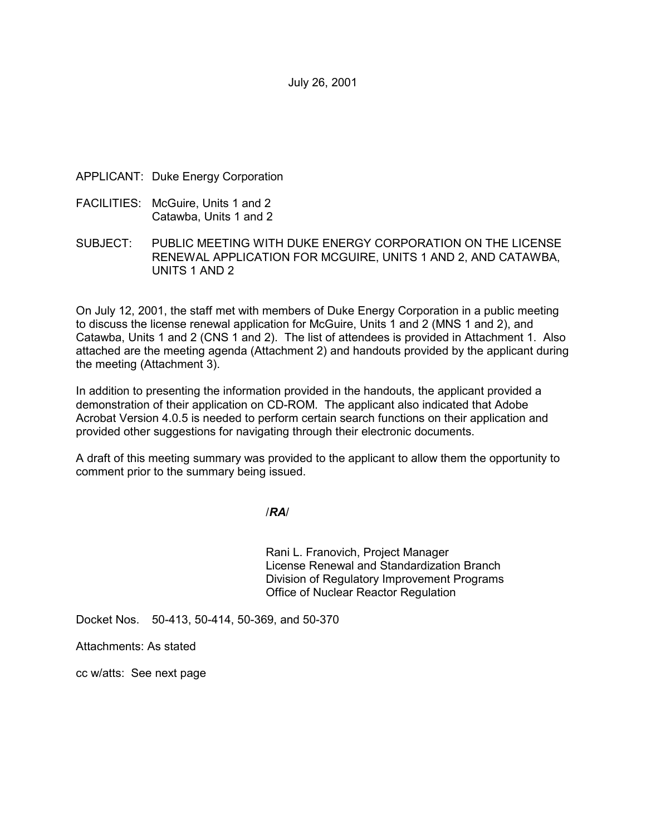July 26, 2001

### APPLICANT: Duke Energy Corporation

- FACILITIES: McGuire, Units 1 and 2 Catawba, Units 1 and 2
- SUBJECT: PUBLIC MEETING WITH DUKE ENERGY CORPORATION ON THE LICENSE RENEWAL APPLICATION FOR MCGUIRE, UNITS 1 AND 2, AND CATAWBA, UNITS 1 AND 2

On July 12, 2001, the staff met with members of Duke Energy Corporation in a public meeting to discuss the license renewal application for McGuire, Units 1 and 2 (MNS 1 and 2), and Catawba, Units 1 and 2 (CNS 1 and 2). The list of attendees is provided in Attachment 1. Also attached are the meeting agenda (Attachment 2) and handouts provided by the applicant during the meeting (Attachment 3).

In addition to presenting the information provided in the handouts, the applicant provided a demonstration of their application on CD-ROM. The applicant also indicated that Adobe Acrobat Version 4.0.5 is needed to perform certain search functions on their application and provided other suggestions for navigating through their electronic documents.

A draft of this meeting summary was provided to the applicant to allow them the opportunity to comment prior to the summary being issued.

/*RA*/

Rani L. Franovich, Project Manager License Renewal and Standardization Branch Division of Regulatory Improvement Programs Office of Nuclear Reactor Regulation

Docket Nos. 50-413, 50-414, 50-369, and 50-370

Attachments: As stated

cc w/atts: See next page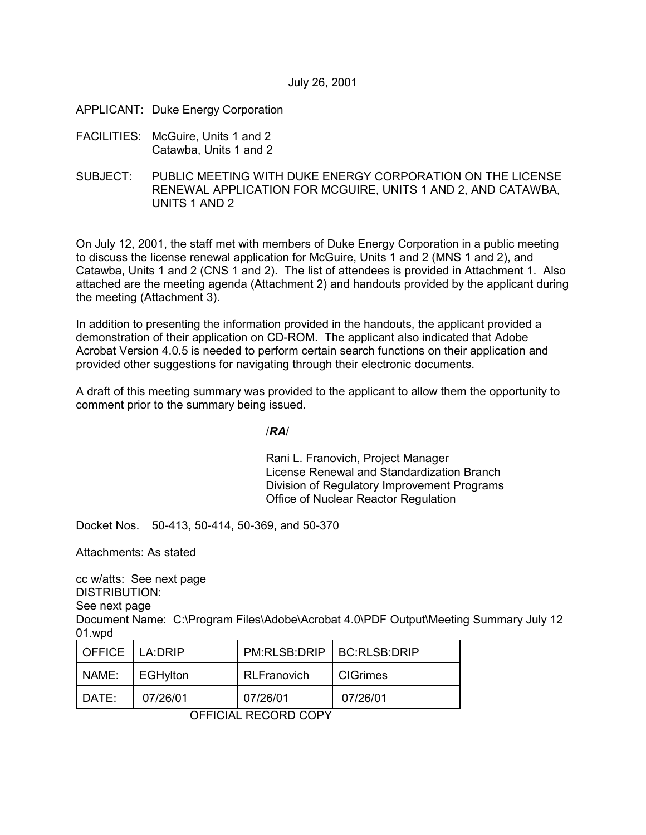- APPLICANT: Duke Energy Corporation
- FACILITIES: McGuire, Units 1 and 2 Catawba, Units 1 and 2
- SUBJECT: PUBLIC MEETING WITH DUKE ENERGY CORPORATION ON THE LICENSE RENEWAL APPLICATION FOR MCGUIRE, UNITS 1 AND 2, AND CATAWBA, UNITS 1 AND 2

On July 12, 2001, the staff met with members of Duke Energy Corporation in a public meeting to discuss the license renewal application for McGuire, Units 1 and 2 (MNS 1 and 2), and Catawba, Units 1 and 2 (CNS 1 and 2). The list of attendees is provided in Attachment 1. Also attached are the meeting agenda (Attachment 2) and handouts provided by the applicant during the meeting (Attachment 3).

In addition to presenting the information provided in the handouts, the applicant provided a demonstration of their application on CD-ROM. The applicant also indicated that Adobe Acrobat Version 4.0.5 is needed to perform certain search functions on their application and provided other suggestions for navigating through their electronic documents.

A draft of this meeting summary was provided to the applicant to allow them the opportunity to comment prior to the summary being issued.

/*RA*/

Rani L. Franovich, Project Manager License Renewal and Standardization Branch Division of Regulatory Improvement Programs Office of Nuclear Reactor Regulation

Docket Nos. 50-413, 50-414, 50-369, and 50-370

Attachments: As stated

cc w/atts: See next page

DISTRIBUTION:

See next page

Document Name: C:\Program Files\Adobe\Acrobat 4.0\PDF Output\Meeting Summary July 12 01.wpd

| OFFICE LA:DRIP |                 | PM:RLSB:DRIP   BC:RLSB:DRIP |                 |
|----------------|-----------------|-----------------------------|-----------------|
| NAME:          | <b>EGHylton</b> | <b>RLFranovich</b>          | <b>CIGrimes</b> |
| DATE:          | 07/26/01        | 07/26/01                    | 07/26/01        |

OFFICIAL RECORD COPY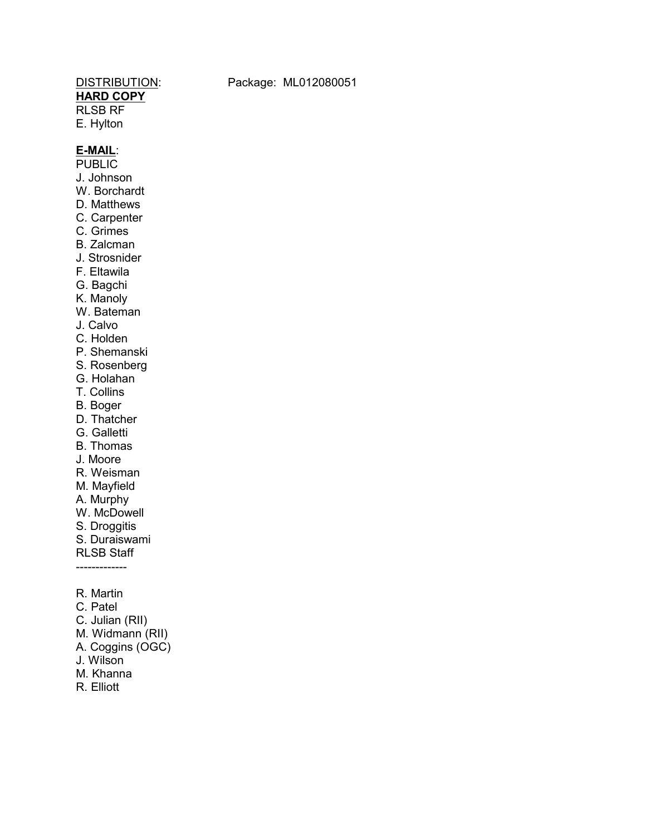# **HARD COPY**

RLSB RF E. Hylton

DISTRIBUTION: Package: ML012080051

## **E-MAIL**:

**PUBLIC** J. Johnson W. Borchardt D. Matthews C. Carpenter C. Grimes B. Zalcman J. Strosnider

- F. Eltawila
- G. Bagchi
- K. Manoly
- W. Bateman
- J. Calvo
- C. Holden
- P. Shemanski
- S. Rosenberg
- G. Holahan
- T. Collins
- B. Boger
- D. Thatcher
- G. Galletti
- B. Thomas
- J. Moore
- R. Weisman
- M. Mayfield
- A. Murphy
- W. McDowell
- S. Droggitis
- S. Duraiswami
- RLSB Staff
- -------------
- R. Martin
- C. Patel
- C. Julian (RII)
- M. Widmann (RII)
- A. Coggins (OGC)
- J. Wilson
- M. Khanna
- R. Elliott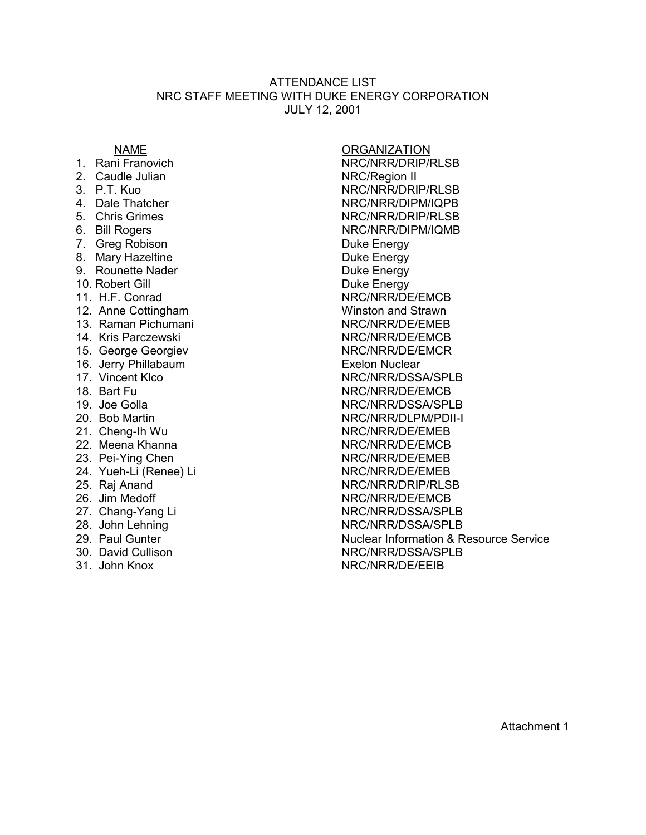### ATTENDANCE LIST NRC STAFF MEETING WITH DUKE ENERGY CORPORATION JULY 12, 2001

- 
- 
- 
- 
- 
- 
- 7. Greg Robison **Duke Energy**
- 8. Mary Hazeltine **Bullet Energy**
- 9. Rounette Nader **Duke Energy**
- 
- 
- 
- 13. Raman Pichumani NRC/NRR/DE/EMEB
- 
- 
- 16. Jerry Phillabaum **Exelon Nuclear**
- 
- 
- 
- 
- 
- 
- 
- 
- 
- 
- 
- 
- 
- 
- 

NAME ORGANIZATION 1. Rani Franovich NRC/NRR/DRIP/RLSB 2. Caudle Julian NRC/Region II<br>
3 PT Kuo NRC/NRR/DRIP/RLSB 4. Dale Thatcher NRC/NRR/DIPM/IQPB<br>5. Chris Grimes NRC/NRR/DRIP/RLSB NRC/NRR/DRIP/RLSB 6. Bill Rogers NRC/NRR/DIPM/IQMB 10. Robert Gill **Duke Energy** 11. H.F. Conrad NRC/NRR/DE/EMCB 12. Anne Cottingham Winston and Strawn 14. Kris Parczewski NRC/NRR/DE/EMCB 15. George Georgiev NRC/NRR/DE/EMCR 17. Vincent Klco NRC/NRR/DSSA/SPLB 18. Bart Fu NRC/NRR/DE/EMCB 19. Joe Golla NRC/NRR/DSSA/SPLB 20. Bob Martin NRC/NRR/DLPM/PDII-I 21. Cheng-Ih Wu NRC/NRR/DE/EMEB 22. Meena Khanna National State State State NRC/NRR/DE/EMCB 23. Pei-Ying Chen NRC/NRR/DE/EMEB 24. Yueh-Li (Renee) Li NRC/NRR/DE/EMEB 25. Raj Anand NRC/NRR/DRIP/RLSB 26. Jim Medoff NRC/NRR/DE/EMCB 27. Chang-Yang Li NRC/NRR/DSSA/SPLB 28. John Lehning NRC/NRR/DSSA/SPLB 29. Paul Gunter **Nuclear Information & Resource Service** 30. David Cullison NRC/NRR/DSSA/SPLB 31. John Knox NRC/NRR/DE/EEIB

Attachment 1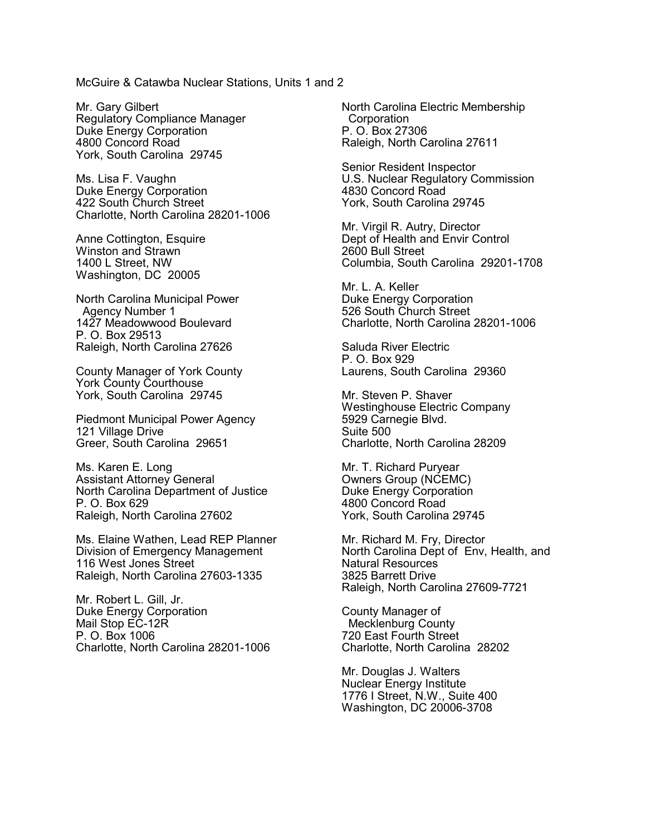McGuire & Catawba Nuclear Stations, Units 1 and 2

Mr. Gary Gilbert Regulatory Compliance Manager Duke Energy Corporation 4800 Concord Road York, South Carolina 29745

Ms. Lisa F. Vaughn Duke Energy Corporation 422 South Church Street Charlotte, North Carolina 28201-1006

Anne Cottington, Esquire Winston and Strawn 1400 L Street, NW Washington, DC 20005

North Carolina Municipal Power Agency Number 1 1427 Meadowwood Boulevard P. O. Box 29513 Raleigh, North Carolina 27626

County Manager of York County York County Courthouse York, South Carolina 29745

Piedmont Municipal Power Agency 121 Village Drive Greer, South Carolina 29651

Ms. Karen E. Long Assistant Attorney General North Carolina Department of Justice P. O. Box 629 Raleigh, North Carolina 27602

Ms. Elaine Wathen, Lead REP Planner Division of Emergency Management 116 West Jones Street Raleigh, North Carolina 27603-1335

Mr. Robert L. Gill, Jr. Duke Energy Corporation Mail Stop EC-12R P. O. Box 1006 Charlotte, North Carolina 28201-1006 North Carolina Electric Membership **Corporation** P. O. Box 27306 Raleigh, North Carolina 27611

Senior Resident Inspector U.S. Nuclear Regulatory Commission 4830 Concord Road York, South Carolina 29745

Mr. Virgil R. Autry, Director Dept of Health and Envir Control 2600 Bull Street Columbia, South Carolina 29201-1708

Mr. L. A. Keller Duke Energy Corporation 526 South Church Street Charlotte, North Carolina 28201-1006

Saluda River Electric P. O. Box 929 Laurens, South Carolina 29360

Mr. Steven P. Shaver Westinghouse Electric Company 5929 Carnegie Blvd. Suite 500 Charlotte, North Carolina 28209

Mr. T. Richard Puryear Owners Group (NCEMC) Duke Energy Corporation 4800 Concord Road York, South Carolina 29745

Mr. Richard M. Fry, Director North Carolina Dept of Env, Health, and Natural Resources 3825 Barrett Drive Raleigh, North Carolina 27609-7721

County Manager of Mecklenburg County 720 East Fourth Street Charlotte, North Carolina 28202

Mr. Douglas J. Walters Nuclear Energy Institute 1776 I Street, N.W., Suite 400 Washington, DC 20006-3708